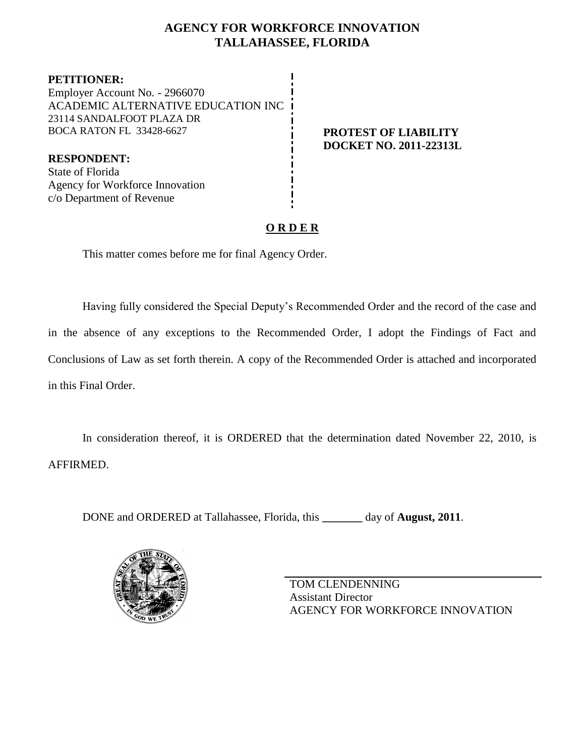# **AGENCY FOR WORKFORCE INNOVATION TALLAHASSEE, FLORIDA**

**PETITIONER:** Employer Account No. - 2966070 ACADEMIC ALTERNATIVE EDUCATION INC 23114 SANDALFOOT PLAZA DR BOCA RATON FL 33428-6627 **PROTEST OF LIABILITY**

**DOCKET NO. 2011-22313L**

**RESPONDENT:** State of Florida Agency for Workforce Innovation c/o Department of Revenue

# **O R D E R**

This matter comes before me for final Agency Order.

Having fully considered the Special Deputy's Recommended Order and the record of the case and in the absence of any exceptions to the Recommended Order, I adopt the Findings of Fact and Conclusions of Law as set forth therein. A copy of the Recommended Order is attached and incorporated in this Final Order.

In consideration thereof, it is ORDERED that the determination dated November 22, 2010, is AFFIRMED.

DONE and ORDERED at Tallahassee, Florida, this **\_\_\_\_\_\_\_** day of **August, 2011**.



TOM CLENDENNING Assistant Director AGENCY FOR WORKFORCE INNOVATION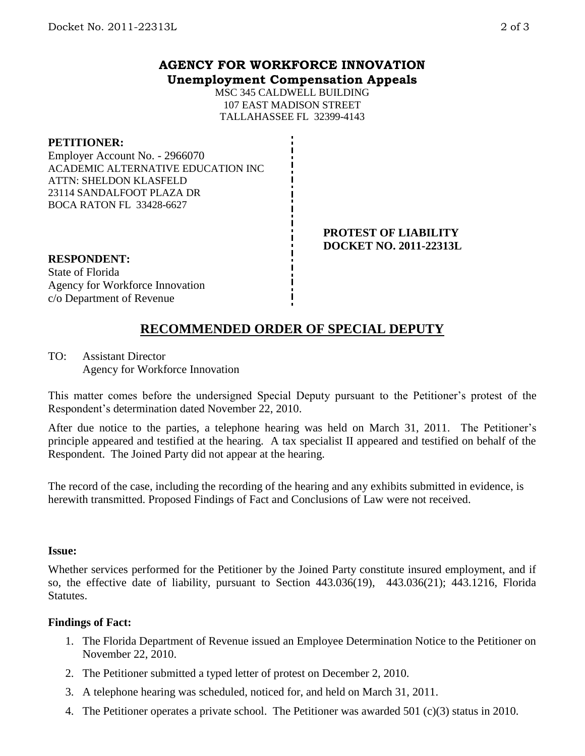# **AGENCY FOR WORKFORCE INNOVATION Unemployment Compensation Appeals**

MSC 345 CALDWELL BUILDING 107 EAST MADISON STREET TALLAHASSEE FL 32399-4143

#### **PETITIONER:**

Employer Account No. - 2966070 ACADEMIC ALTERNATIVE EDUCATION INC ATTN: SHELDON KLASFELD 23114 SANDALFOOT PLAZA DR BOCA RATON FL 33428-6627

#### **PROTEST OF LIABILITY DOCKET NO. 2011-22313L**

#### **RESPONDENT:** State of Florida Agency for Workforce Innovation c/o Department of Revenue

# **RECOMMENDED ORDER OF SPECIAL DEPUTY**

TO: Assistant Director Agency for Workforce Innovation

This matter comes before the undersigned Special Deputy pursuant to the Petitioner's protest of the Respondent's determination dated November 22, 2010.

After due notice to the parties, a telephone hearing was held on March 31, 2011. The Petitioner's principle appeared and testified at the hearing. A tax specialist II appeared and testified on behalf of the Respondent. The Joined Party did not appear at the hearing.

The record of the case, including the recording of the hearing and any exhibits submitted in evidence, is herewith transmitted. Proposed Findings of Fact and Conclusions of Law were not received.

## **Issue:**

Whether services performed for the Petitioner by the Joined Party constitute insured employment, and if so, the effective date of liability, pursuant to Section 443.036(19), 443.036(21); 443.1216, Florida **Statutes.** 

## **Findings of Fact:**

- 1. The Florida Department of Revenue issued an Employee Determination Notice to the Petitioner on November 22, 2010.
- 2. The Petitioner submitted a typed letter of protest on December 2, 2010.
- 3. A telephone hearing was scheduled, noticed for, and held on March 31, 2011.
- 4. The Petitioner operates a private school. The Petitioner was awarded 501 (c)(3) status in 2010.